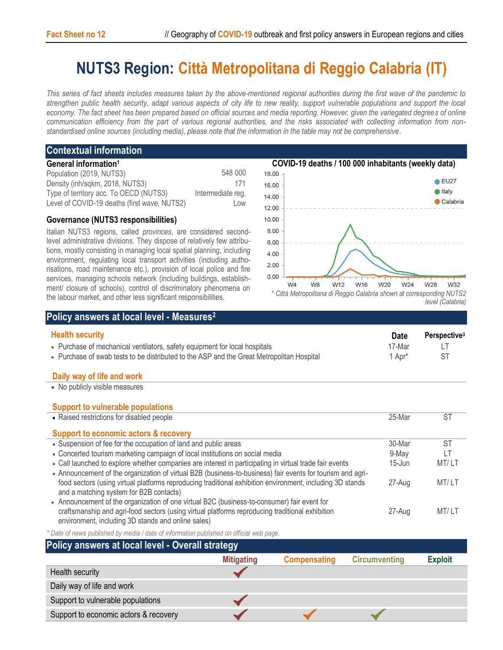# **NUTS3 Region: Città Metropolitana di Reggio Calabria (IT)**

*This series of fact sheets includes measures taken by the above-mentioned regional authorities during the first wave of the pandemic to strengthen public health security, adapt various aspects of city life to new reality, support vulnerable populations and support the local economy. The fact sheet has been prepared based on official sources and media reporting. However, given the variegated degrees of online communication efficiency from the part of various regional authorities, and the risks associated with collecting information from nonstandardised online sources (including media), please note that the information in the table may not be comprehensive*.

# **Contextual information General information<sup>1</sup>**

| Population (2019, NUTS3)                     | 548 000           |
|----------------------------------------------|-------------------|
| Density (inh/sqkm, 2018, NUTS3)              | 171               |
| Type of territory acc. To OECD (NUTS3)       | Intermediate reg. |
| Level of COVID-19 deaths (first wave, NUTS2) | Low               |

### **Governance (NUTS3 responsibilities)**

Italian NUTS3 regions, called *provinces*, are considered secondlevel administrative divisions. They dispose of relatively few attributions, mostly consisting in managing local spatial planning, including environment, regulating local transport activities (including authorisations, road maintenance etc.), provision of local police and fire services, managing schools network (including buildings, establishment/ closure of schools), control of discriminatory phenomena on the labour market, and other less significant responsibilities.



# **Policy answers at local level - Measures<sup>2</sup>**

| <b>Health security</b>                                                                    | <b>Date</b>        | Perspective <sup>3</sup> |
|-------------------------------------------------------------------------------------------|--------------------|--------------------------|
| • Purchase of mechanical ventilators, safety equipment for local hospitals                | 17-Mar             |                          |
| • Purchase of swab tests to be distributed to the ASP and the Great Metropolitan Hospital | 1 Apr <sup>*</sup> |                          |

#### **Daily way of life and work**

• No publicly visible measures

| <b>Support to vulnerable populations</b>                                                                                                                                                                                                                           |            |       |
|--------------------------------------------------------------------------------------------------------------------------------------------------------------------------------------------------------------------------------------------------------------------|------------|-------|
| • Raised restrictions for disabled people                                                                                                                                                                                                                          | 25-Mar     | ST    |
| Support to economic actors & recovery                                                                                                                                                                                                                              |            |       |
| • Suspension of fee for the occupation of land and public areas                                                                                                                                                                                                    | 30-Mar     | ST    |
| • Concerted tourism marketing campaign of local institutions on social media                                                                                                                                                                                       | 9-May      | LΤ    |
| • Call launched to explore whether companies are interest in participating in virtual trade fair events                                                                                                                                                            | $15 -$ Jun | MT/LT |
| • Announcement of the organization of virtual B2B (business-to-business) fair events for tourism and agri-<br>food sectors (using virtual platforms reproducing traditional exhibition environment, including 3D stands<br>and a matching system for B2B contacts) | 27-Aug     | MT/LT |
| • Announcement of the organization of one virtual B2C (business-to-consumer) fair event for<br>craftsmanship and agri-food sectors (using virtual platforms reproducing traditional exhibition<br>environment, including 3D stands and online sales)               | 27-Aug     | MT/LT |

*\* Date of news published by media / date of information published on official web page.*

# **Policy answers at local level - Overall strategy**

|                                       | .                 |                     |                      |                |
|---------------------------------------|-------------------|---------------------|----------------------|----------------|
|                                       | <b>Mitigating</b> | <b>Compensating</b> | <b>Circumventing</b> | <b>Exploit</b> |
| Health security                       |                   |                     |                      |                |
| Daily way of life and work            |                   |                     |                      |                |
| Support to vulnerable populations     |                   |                     |                      |                |
| Support to economic actors & recovery |                   |                     |                      |                |